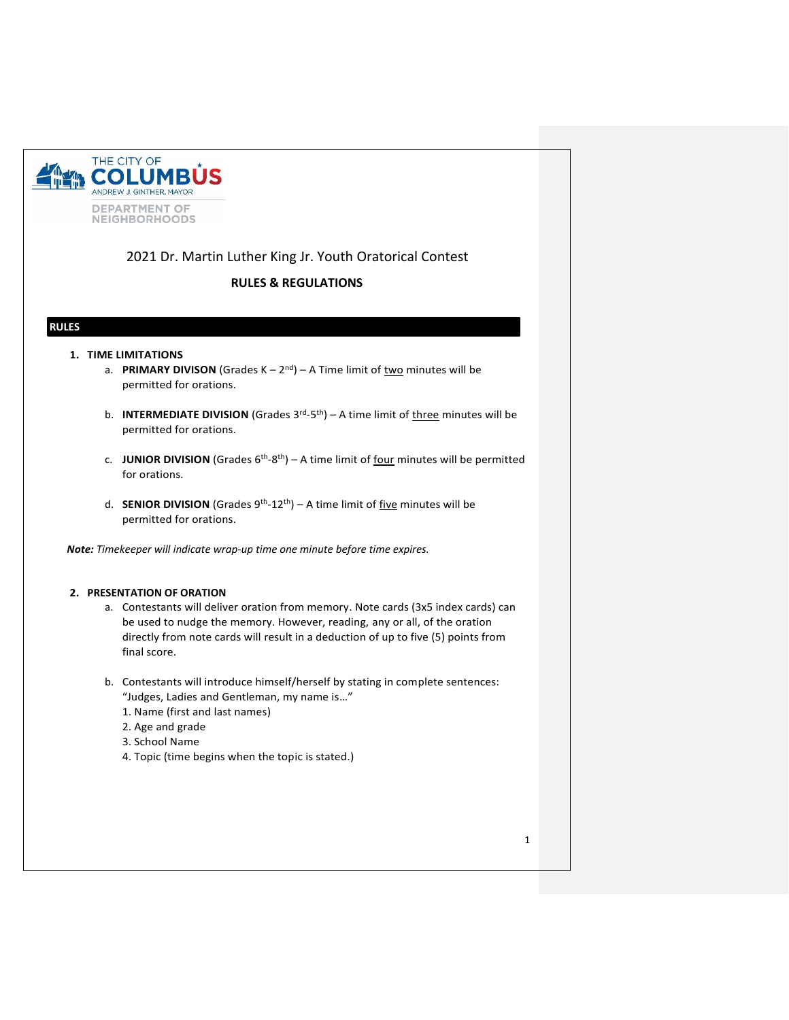

# 2021 Dr. Martin Luther King Jr. Youth Oratorical Contest

# **RULES & REGULATIONS**

# **RULES**

## **1. TIME LIMITATIONS**

- a. PRIMARY DIVISON (Grades K 2<sup>nd</sup>) A Time limit of two minutes will be permitted for orations.
- b. **INTERMEDIATE DIVISION** (Grades 3<sup>rd</sup>-5<sup>th</sup>) A time limit of *three minutes will be* permitted for orations.
- c. JUNIOR DIVISION (Grades 6<sup>th</sup>-8<sup>th</sup>) A time limit of four minutes will be permitted for orations.
- d. **SENIOR DIVISION** (Grades 9<sup>th</sup>-12<sup>th</sup>) A time limit of five minutes will be permitted for orations.

*Note: Timekeeper will indicate wrap-up time one minute before time expires.*

### **2. PRESENTATION OF ORATION**

- a. Contestants will deliver oration from memory. Note cards (3x5 index cards) can be used to nudge the memory. However, reading, any or all, of the oration directly from note cards will result in a deduction of up to five (5) points from final score.
- b. Contestants will introduce himself/herself by stating in complete sentences: "Judges, Ladies and Gentleman, my name is…"
	- 1. Name (first and last names)
	- 2. Age and grade
	- 3. School Name
	- 4. Topic (time begins when the topic is stated.)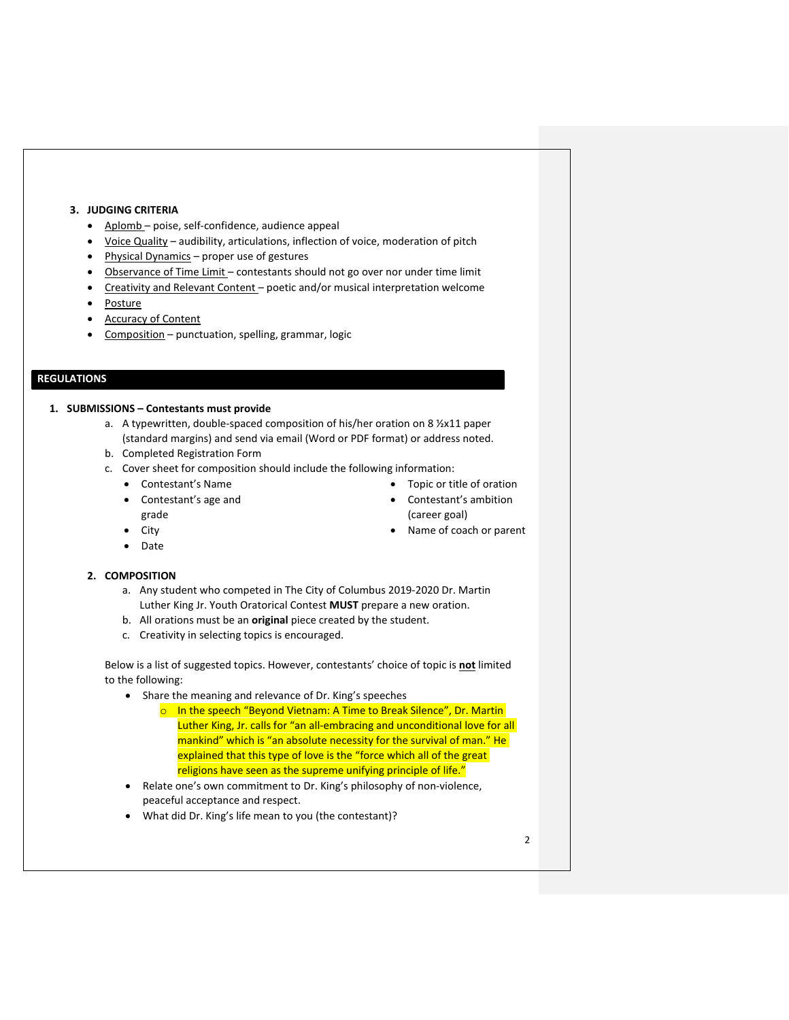## **3. JUDGING CRITERIA**

- Aplomb poise, self-confidence, audience appeal
- Voice Quality audibility, articulations, inflection of voice, moderation of pitch
- Physical Dynamics proper use of gestures
- Observance of Time Limit contestants should not go over nor under time limit
- Creativity and Relevant Content poetic and/or musical interpretation welcome
- Posture
- **Accuracy of Content**
- Composition punctuation, spelling, grammar, logic

# **REGULATIONS**

#### **1. SUBMISSIONS – Contestants must provide**

- a. A typewritten, double-spaced composition of his/her oration on 8 ½x11 paper (standard margins) and send via email (Word or PDF format) or address noted.
- b. Completed Registration Form
- c. Cover sheet for composition should include the following information:
	- Contestant's Name
	- Contestant's age and
- Contestant's ambition (career goal)
- Name of coach or parent

• Topic or title of oration

**City** 

grade

• Date

### **2. COMPOSITION**

- a. Any student who competed in The City of Columbus 2019-2020 Dr. Martin Luther King Jr. Youth Oratorical Contest **MUST** prepare a new oration.
- b. All orations must be an **original** piece created by the student.
- c. Creativity in selecting topics is encouraged.

Below is a list of suggested topics. However, contestants' choice of topic is **not** limited to the following:

- Share the meaning and relevance of Dr. King's speeches
	- o In the speech "Beyond Vietnam: A Time to Break Silence", Dr. Martin Luther King, Jr. calls for "an all-embracing and unconditional love for all mankind" which is "an absolute necessity for the survival of man." He explained that this type of love is the "force which all of the great religions have seen as the supreme unifying principle of life."
- Relate one's own commitment to Dr. King's philosophy of non-violence, peaceful acceptance and respect.
- What did Dr. King's life mean to you (the contestant)?